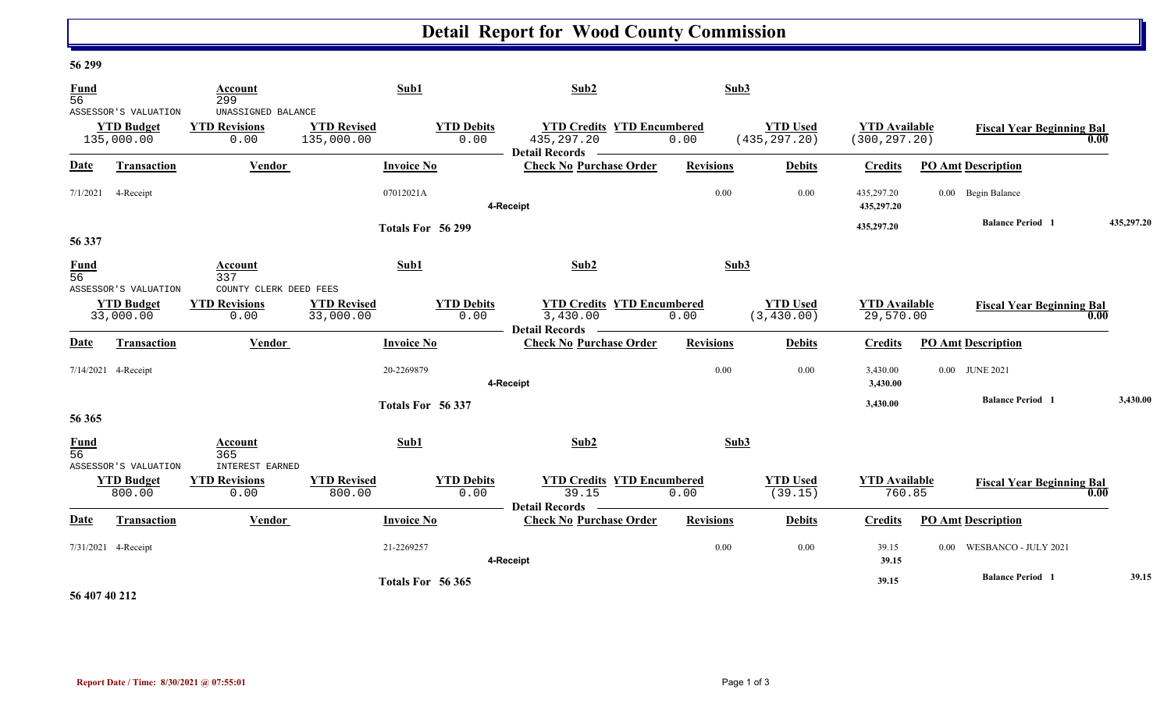# **Detail Report for Wood County Commission**

### **56 299**

| $\frac{Fund}{56}$              |                                                         | Account<br>299                                     |                                  | Sub1                      | Sub2                                                                  | Sub3             |                                  |                                       |                                  |            |
|--------------------------------|---------------------------------------------------------|----------------------------------------------------|----------------------------------|---------------------------|-----------------------------------------------------------------------|------------------|----------------------------------|---------------------------------------|----------------------------------|------------|
|                                | ASSESSOR'S VALUATION<br><b>YTD Budget</b><br>135,000.00 | UNASSIGNED BALANCE<br><b>YTD Revisions</b><br>0.00 | <b>YTD Revised</b><br>135,000.00 | <b>YTD Debits</b><br>0.00 | <b>YTD Credits YTD Encumbered</b><br>435, 297. 20<br>Detail Records — | 0.00             | <b>YTD Used</b><br>(435, 297.20) | <b>YTD Available</b><br>(300, 297.20) | <b>Fiscal Year Beginning Bal</b> | 0.00       |
| Date                           | Transaction                                             | <b>Vendor</b>                                      |                                  | <b>Invoice No</b>         | <b>Check No Purchase Order</b>                                        | <b>Revisions</b> | <b>Debits</b>                    | <b>Credits</b>                        | <b>PO Amt Description</b>        |            |
| 7/1/2021                       | 4-Receipt                                               | 07012021A                                          |                                  |                           | 0.00<br>0.00<br>4-Receipt                                             |                  |                                  | 435,297.20<br>435,297.20              | 0.00 Begin Balance               |            |
| 56 337                         |                                                         |                                                    |                                  | Totals For 56 299         |                                                                       |                  |                                  | 435,297.20                            | <b>Balance Period 1</b>          | 435,297.20 |
| <b>Fund</b><br>$\overline{56}$ | ASSESSOR'S VALUATION                                    | Account<br>337<br>COUNTY CLERK DEED FEES           |                                  | Sub1                      | Sub2                                                                  | Sub3             |                                  |                                       |                                  |            |
|                                | <b>YTD Budget</b><br>33,000.00                          | <b>YTD Revisions</b><br>0.00                       | <b>YTD Revised</b><br>33,000.00  | <b>YTD Debits</b><br>0.00 | <b>YTD Credits YTD Encumbered</b><br>3,430.00<br>Detail Records –     | 0.00             | <b>YTD Used</b><br>(3, 430.00)   | <b>YTD Available</b><br>29,570.00     | <b>Fiscal Year Beginning Bal</b> | 0.00       |
| <b>Date</b>                    | <b>Transaction</b>                                      | Vendor                                             |                                  | <b>Invoice No</b>         | <b>Check No Purchase Order</b>                                        | <b>Revisions</b> | <b>Debits</b>                    | <b>Credits</b>                        | <b>PO Amt Description</b>        |            |
|                                | 7/14/2021 4-Receipt<br>20-2269879                       |                                                    |                                  | 0.00<br>0.00<br>4-Receipt |                                                                       |                  | 3,430.00<br>3,430.00             | 0.00 JUNE 2021                        |                                  |            |
| 56 365                         |                                                         |                                                    |                                  | Totals For 56 337         |                                                                       |                  |                                  | 3,430.00                              | <b>Balance Period 1</b>          | 3,430.00   |
| <b>Fund</b><br>$\overline{56}$ | ASSESSOR'S VALUATION                                    | Account<br>365<br><b>INTEREST EARNED</b>           |                                  | Sub1                      | Sub2                                                                  | Sub3             |                                  |                                       |                                  |            |
|                                | <b>YTD Budget</b><br>800.00                             | <b>YTD Revisions</b><br>0.00                       | <b>YTD Revised</b><br>800.00     | <b>YTD Debits</b><br>0.00 | <b>YTD Credits YTD Encumbered</b><br>39.15<br><b>Detail Records</b>   | 0.00             | <b>YTD Used</b><br>(39.15)       | <b>YTD</b> Available<br>760.85        | <b>Fiscal Year Beginning Bal</b> | 0.00       |
| Date                           | Transaction                                             | Vendor                                             |                                  | <b>Invoice No</b>         | <b>Check No Purchase Order</b>                                        | <b>Revisions</b> | <b>Debits</b>                    | <b>Credits</b>                        | <b>PO Amt Description</b>        |            |
|                                | 7/31/2021 4-Receipt                                     |                                                    |                                  | 21-2269257                | 4-Receipt                                                             | 0.00             | 0.00                             | 39.15<br>39.15                        | WESBANCO - JULY 2021<br>$0.00 -$ |            |
|                                |                                                         |                                                    |                                  | Totals For 56 365         |                                                                       |                  |                                  | 39.15                                 | <b>Balance Period</b> 1          | 39.15      |

### **56 407 40 212**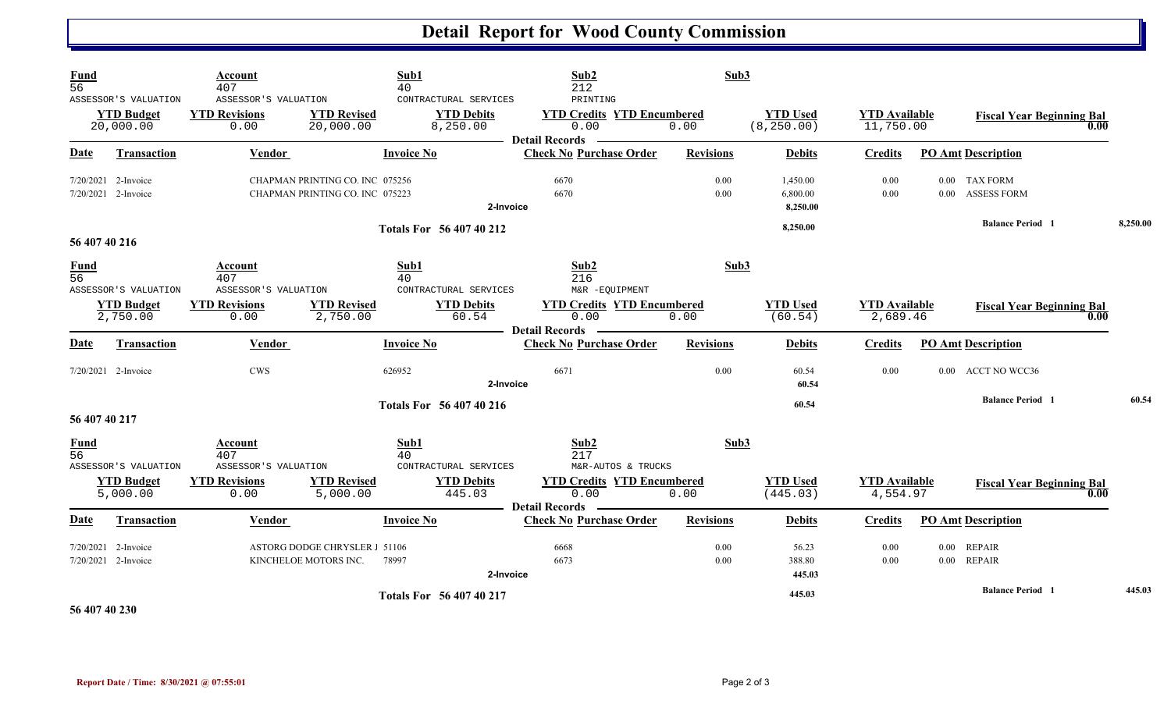### **Detail Report for Wood County Commission**

| Fund<br>$\overline{56}$        | ASSESSOR'S VALUATION<br><b>YTD Budget</b><br>20,000.00 | Account<br>407<br>ASSESSOR'S VALUATION<br><b>YTD Revisions</b><br>0.00 | <b>YTD Revised</b><br>20,000.00                                    | Sub1<br>40<br>CONTRACTURAL SERVICES<br><b>YTD Debits</b><br>8,250.00 | Sub2<br>212<br>PRINTING<br><b>YTD Credits YTD Encumbered</b><br>0.00<br><b>Detail Records</b> | Sub3<br>0.00     | <b>YTD Used</b><br>(8, 250.00)   | <b>YTD</b> Available<br>11,750.00 |                      | <b>Fiscal Year Beginning Bal</b><br>0.00 |          |
|--------------------------------|--------------------------------------------------------|------------------------------------------------------------------------|--------------------------------------------------------------------|----------------------------------------------------------------------|-----------------------------------------------------------------------------------------------|------------------|----------------------------------|-----------------------------------|----------------------|------------------------------------------|----------|
| Date                           | <b>Transaction</b>                                     | Vendor                                                                 |                                                                    | <b>Invoice No</b>                                                    | <b>Check No Purchase Order</b>                                                                | <b>Revisions</b> | <b>Debits</b>                    | <b>Credits</b>                    |                      | <b>PO Amt Description</b>                |          |
|                                | 7/20/2021 2-Invoice<br>7/20/2021 2-Invoice             |                                                                        | CHAPMAN PRINTING CO. INC 075256<br>CHAPMAN PRINTING CO. INC 075223 | 2-Invoice                                                            | 6670<br>6670                                                                                  | 0.00<br>0.00     | 1,450.00<br>6,800.00<br>8,250.00 | 0.00<br>0.00                      |                      | 0.00 TAX FORM<br>0.00 ASSESS FORM        |          |
| 56 407 40 216                  |                                                        |                                                                        |                                                                    | Totals For 56 407 40 212                                             |                                                                                               |                  | 8,250.00                         |                                   |                      | <b>Balance Period 1</b>                  | 8,250.00 |
| $\frac{Fund}{56}$              | ASSESSOR'S VALUATION                                   | Account<br>407<br>ASSESSOR'S VALUATION                                 |                                                                    | Sub1<br>40<br>CONTRACTURAL SERVICES                                  | Sub2<br>216<br>M&R -EQUIPMENT                                                                 | Sub3             |                                  |                                   |                      |                                          |          |
|                                | <b>YTD Budget</b><br>2,750.00                          | <b>YTD Revisions</b><br>0.00                                           | <b>YTD Revised</b><br>2,750.00                                     | <b>YTD Debits</b><br>60.54                                           | <b>YTD Credits YTD Encumbered</b><br>0.00<br><b>Detail Records</b>                            | 0.00             | <b>YTD Used</b><br>(60.54)       | <b>YTD Available</b><br>2,689.46  |                      | <b>Fiscal Year Beginning Bal</b><br>0.00 |          |
| Date                           | Transaction                                            | Vendor                                                                 |                                                                    | <b>Invoice No</b>                                                    | <b>Check No Purchase Order</b>                                                                | <b>Revisions</b> | <b>Debits</b>                    | <b>Credits</b>                    |                      | <b>PO Amt Description</b>                |          |
|                                | 7/20/2021 2-Invoice                                    | <b>CWS</b>                                                             |                                                                    | 626952<br>2-Invoice                                                  | 6671                                                                                          | 0.00             | 60.54<br>60.54                   | 0.00                              |                      | 0.00 ACCT NO WCC36                       |          |
| 56 407 40 217                  |                                                        |                                                                        |                                                                    | <b>Totals For 56 407 40 216</b>                                      |                                                                                               |                  | 60.54                            |                                   |                      | <b>Balance Period</b> 1                  | 60.54    |
| <b>Fund</b><br>$\overline{56}$ | ASSESSOR'S VALUATION                                   | Account<br>407<br>ASSESSOR'S VALUATION                                 |                                                                    | Sub1<br>40<br>CONTRACTURAL SERVICES                                  | Sub2<br>217<br>M&R-AUTOS & TRUCKS                                                             | Sub3             |                                  |                                   |                      |                                          |          |
|                                | <b>YTD Budget</b><br>5,000.00                          | <b>YTD Revisions</b><br>0.00                                           | <b>YTD Revised</b><br>5,000.00                                     | <b>YTD Debits</b><br>445.03                                          | <b>YTD Credits YTD Encumbered</b><br>0.00<br><b>Detail Records</b>                            | 0.00             | <b>YTD Used</b><br>(445.03)      | <b>YTD</b> Available<br>4,554.97  |                      | <b>Fiscal Year Beginning Bal</b><br>0.00 |          |
| <u>Date</u>                    | Transaction                                            | Vendor                                                                 |                                                                    | <b>Invoice No</b>                                                    | <b>Check No Purchase Order</b>                                                                | <b>Revisions</b> | <b>Debits</b>                    | Credits                           |                      | <b>PO Amt Description</b>                |          |
|                                | $7/20/2021$ 2-Invoice<br>7/20/2021 2-Invoice           |                                                                        | ASTORG DODGE CHRYSLER 1 51106<br>KINCHELOE MOTORS INC.             | 78997<br>2-Invoice                                                   | 6668<br>6673                                                                                  | 0.00<br>0.00     | 56.23<br>388.80<br>445.03        | 0.00<br>0.00                      | $0.00\,$<br>$0.00\,$ | <b>REPAIR</b><br><b>REPAIR</b>           |          |
|                                |                                                        |                                                                        |                                                                    | Totals For 56 407 40 217                                             |                                                                                               |                  | 445.03                           |                                   |                      | <b>Balance Period 1</b>                  | 445.03   |

**56 407 40 230**